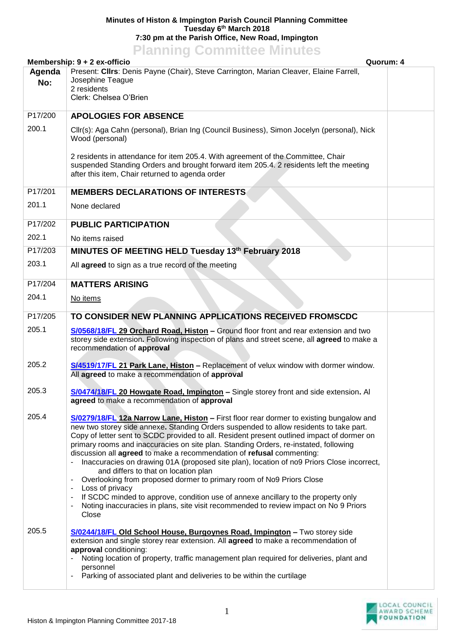## **Minutes of Histon & Impington Parish Council Planning Committee Tuesday 6 th March 2018 7:30 pm at the Parish Office, New Road, Impington**

## **Planning Committee Minutes**

|               | Membership: 9 + 2 ex-officio<br>Quorum: 4                                                                                                                                                                                                                                                                                                                                                                                                                                                                                                                                                                                                                                                                                                                                                                                                                              |  |
|---------------|------------------------------------------------------------------------------------------------------------------------------------------------------------------------------------------------------------------------------------------------------------------------------------------------------------------------------------------------------------------------------------------------------------------------------------------------------------------------------------------------------------------------------------------------------------------------------------------------------------------------------------------------------------------------------------------------------------------------------------------------------------------------------------------------------------------------------------------------------------------------|--|
| Agenda<br>No: | Present: Cllrs: Denis Payne (Chair), Steve Carrington, Marian Cleaver, Elaine Farrell,<br>Josephine Teague<br>2 residents<br>Clerk: Chelsea O'Brien                                                                                                                                                                                                                                                                                                                                                                                                                                                                                                                                                                                                                                                                                                                    |  |
| P17/200       | <b>APOLOGIES FOR ABSENCE</b>                                                                                                                                                                                                                                                                                                                                                                                                                                                                                                                                                                                                                                                                                                                                                                                                                                           |  |
| 200.1         | Cllr(s): Aga Cahn (personal), Brian Ing (Council Business), Simon Jocelyn (personal), Nick<br>Wood (personal)                                                                                                                                                                                                                                                                                                                                                                                                                                                                                                                                                                                                                                                                                                                                                          |  |
|               | 2 residents in attendance for item 205.4. With agreement of the Committee, Chair<br>suspended Standing Orders and brought forward item 205.4. 2 residents left the meeting<br>after this item, Chair returned to agenda order                                                                                                                                                                                                                                                                                                                                                                                                                                                                                                                                                                                                                                          |  |
| P17/201       | <b>MEMBERS DECLARATIONS OF INTERESTS</b>                                                                                                                                                                                                                                                                                                                                                                                                                                                                                                                                                                                                                                                                                                                                                                                                                               |  |
| 201.1         | None declared                                                                                                                                                                                                                                                                                                                                                                                                                                                                                                                                                                                                                                                                                                                                                                                                                                                          |  |
| P17/202       | <b>PUBLIC PARTICIPATION</b>                                                                                                                                                                                                                                                                                                                                                                                                                                                                                                                                                                                                                                                                                                                                                                                                                                            |  |
| 202.1         | No items raised                                                                                                                                                                                                                                                                                                                                                                                                                                                                                                                                                                                                                                                                                                                                                                                                                                                        |  |
| P17/203       | MINUTES OF MEETING HELD Tuesday 13th February 2018                                                                                                                                                                                                                                                                                                                                                                                                                                                                                                                                                                                                                                                                                                                                                                                                                     |  |
| 203.1         | All agreed to sign as a true record of the meeting                                                                                                                                                                                                                                                                                                                                                                                                                                                                                                                                                                                                                                                                                                                                                                                                                     |  |
| P17/204       | <b>MATTERS ARISING</b>                                                                                                                                                                                                                                                                                                                                                                                                                                                                                                                                                                                                                                                                                                                                                                                                                                                 |  |
| 204.1         | No items                                                                                                                                                                                                                                                                                                                                                                                                                                                                                                                                                                                                                                                                                                                                                                                                                                                               |  |
| P17/205       | TO CONSIDER NEW PLANNING APPLICATIONS RECEIVED FROMSCDC                                                                                                                                                                                                                                                                                                                                                                                                                                                                                                                                                                                                                                                                                                                                                                                                                |  |
| 205.1         | S/0568/18/FL 29 Orchard Road, Histon - Ground floor front and rear extension and two<br>storey side extension. Following inspection of plans and street scene, all agreed to make a<br>recommendation of approval                                                                                                                                                                                                                                                                                                                                                                                                                                                                                                                                                                                                                                                      |  |
| 205.2         | S/4519/17/FL 21 Park Lane, Histon - Replacement of velux window with dormer window.<br>All agreed to make a recommendation of approval                                                                                                                                                                                                                                                                                                                                                                                                                                                                                                                                                                                                                                                                                                                                 |  |
| 205.3         | S/0474/18/FL 20 Howgate Road, Impington - Single storey front and side extension. Al<br>agreed to make a recommendation of approval                                                                                                                                                                                                                                                                                                                                                                                                                                                                                                                                                                                                                                                                                                                                    |  |
| 205.4         | S/0279/18/FL 12a Narrow Lane, Histon - First floor rear dormer to existing bungalow and<br>new two storey side annexe. Standing Orders suspended to allow residents to take part.<br>Copy of letter sent to SCDC provided to all. Resident present outlined impact of dormer on<br>primary rooms and inaccuracies on site plan. Standing Orders, re-instated, following<br>discussion all agreed to make a recommendation of refusal commenting:<br>Inaccuracies on drawing 01A (proposed site plan), location of no9 Priors Close incorrect,<br>and differs to that on location plan<br>Overlooking from proposed dormer to primary room of No9 Priors Close<br>Loss of privacy<br>If SCDC minded to approve, condition use of annexe ancillary to the property only<br>Noting inaccuracies in plans, site visit recommended to review impact on No 9 Priors<br>Close |  |
| 205.5         | S/0244/18/FL Old School House, Burgoynes Road, Impington - Two storey side<br>extension and single storey rear extension. All agreed to make a recommendation of<br>approval conditioning:<br>Noting location of property, traffic management plan required for deliveries, plant and<br>personnel<br>Parking of associated plant and deliveries to be within the curtilage                                                                                                                                                                                                                                                                                                                                                                                                                                                                                            |  |

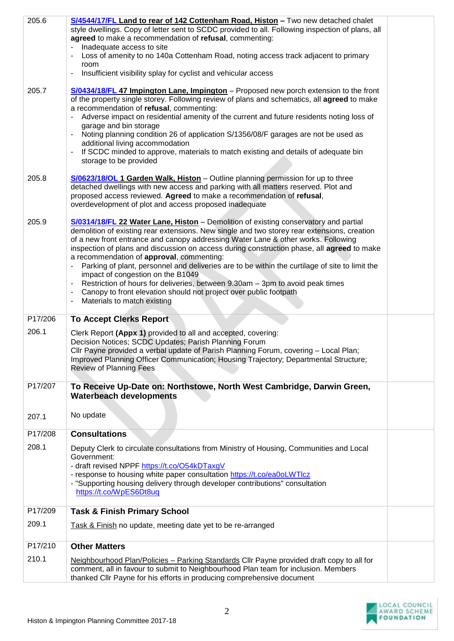| 205.6   | S/4544/17/FL Land to rear of 142 Cottenham Road, Histon - Two new detached chalet                                                                                               |  |
|---------|---------------------------------------------------------------------------------------------------------------------------------------------------------------------------------|--|
|         | style dwellings. Copy of letter sent to SCDC provided to all. Following inspection of plans, all                                                                                |  |
|         | agreed to make a recommendation of refusal, commenting:                                                                                                                         |  |
|         | Inadequate access to site<br>Loss of amenity to no 140a Cottenham Road, noting access track adjacent to primary                                                                 |  |
|         | room                                                                                                                                                                            |  |
|         | Insufficient visibility splay for cyclist and vehicular access<br>۰                                                                                                             |  |
|         |                                                                                                                                                                                 |  |
| 205.7   | S/0434/18/FL 47 Impington Lane, Impington - Proposed new porch extension to the front                                                                                           |  |
|         | of the property single storey. Following review of plans and schematics, all agreed to make                                                                                     |  |
|         | a recommendation of refusal, commenting:                                                                                                                                        |  |
|         | Adverse impact on residential amenity of the current and future residents noting loss of                                                                                        |  |
|         | garage and bin storage<br>Noting planning condition 26 of application S/1356/08/F garages are not be used as                                                                    |  |
|         | additional living accommodation                                                                                                                                                 |  |
|         | If SCDC minded to approve, materials to match existing and details of adequate bin                                                                                              |  |
|         | storage to be provided                                                                                                                                                          |  |
|         |                                                                                                                                                                                 |  |
| 205.8   | <b>S/0623/18/OL 1 Garden Walk, Histon</b> – Outline planning permission for up to three                                                                                         |  |
|         | detached dwellings with new access and parking with all matters reserved. Plot and                                                                                              |  |
|         | proposed access reviewed. Agreed to make a recommendation of refusal,<br>overdevelopment of plot and access proposed inadequate                                                 |  |
|         |                                                                                                                                                                                 |  |
| 205.9   | S/0314/18/FL 22 Water Lane, Histon - Demolition of existing conservatory and partial                                                                                            |  |
|         | demolition of existing rear extensions. New single and two storey rear extensions, creation                                                                                     |  |
|         | of a new front entrance and canopy addressing Water Lane & other works. Following                                                                                               |  |
|         | inspection of plans and discussion on access during construction phase, all agreed to make                                                                                      |  |
|         | a recommendation of approval, commenting:                                                                                                                                       |  |
|         | Parking of plant, personnel and deliveries are to be within the curtilage of site to limit the<br>impact of congestion on the B1049                                             |  |
|         | Restriction of hours for deliveries, between 9.30am - 3pm to avoid peak times                                                                                                   |  |
|         | Canopy to front elevation should not project over public footpath                                                                                                               |  |
|         | Materials to match existing                                                                                                                                                     |  |
|         |                                                                                                                                                                                 |  |
| P17/206 | <b>To Accept Clerks Report</b>                                                                                                                                                  |  |
| 206.1   | Clerk Report (Appx 1) provided to all and accepted, covering:                                                                                                                   |  |
|         | Decision Notices; SCDC Updates; Parish Planning Forum                                                                                                                           |  |
|         | Cllr Payne provided a verbal update of Parish Planning Forum, covering - Local Plan;                                                                                            |  |
|         | Improved Planning Officer Communication; Housing Trajectory; Departmental Structure;                                                                                            |  |
|         | <b>Review of Planning Fees</b>                                                                                                                                                  |  |
| P17/207 | To Receive Up-Date on: Northstowe, North West Cambridge, Darwin Green,                                                                                                          |  |
|         | <b>Waterbeach developments</b>                                                                                                                                                  |  |
|         |                                                                                                                                                                                 |  |
| 207.1   | No update                                                                                                                                                                       |  |
|         |                                                                                                                                                                                 |  |
| P17/208 | <b>Consultations</b>                                                                                                                                                            |  |
| 208.1   | Deputy Clerk to circulate consultations from Ministry of Housing, Communities and Local                                                                                         |  |
|         | Government:                                                                                                                                                                     |  |
|         | - draft revised NPPF https://t.co/O54kDTaxgV                                                                                                                                    |  |
|         | - response to housing white paper consultation https://t.co/ea0oLWTlcz<br>- "Supporting housing delivery through developer contributions" consultation                          |  |
|         | https://t.co/WpES6Dt8uq                                                                                                                                                         |  |
|         |                                                                                                                                                                                 |  |
| P17/209 | <b>Task &amp; Finish Primary School</b>                                                                                                                                         |  |
| 209.1   | Task & Finish no update, meeting date yet to be re-arranged                                                                                                                     |  |
|         |                                                                                                                                                                                 |  |
| P17/210 | <b>Other Matters</b>                                                                                                                                                            |  |
|         |                                                                                                                                                                                 |  |
| 210.1   | Neighbourhood Plan/Policies - Parking Standards Cllr Payne provided draft copy to all for<br>comment, all in favour to submit to Neighbourhood Plan team for inclusion. Members |  |
|         | thanked Cllr Payne for his efforts in producing comprehensive document                                                                                                          |  |
|         |                                                                                                                                                                                 |  |